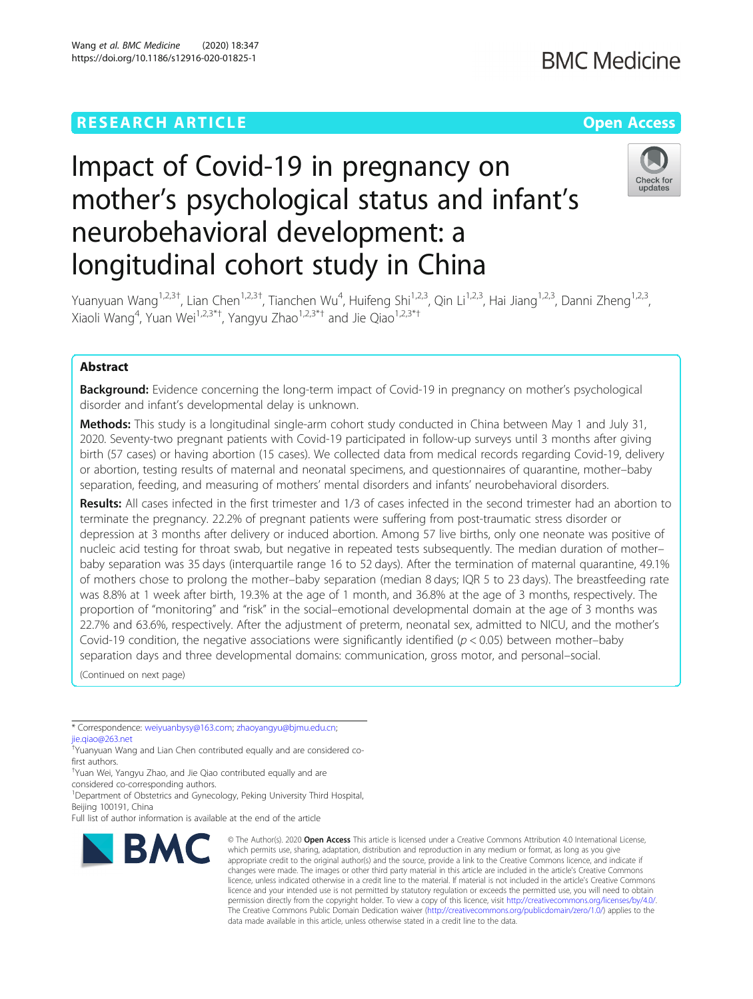# **RESEARCH ARTICLE Example 2014 12:30 The Company Access Open Access**

# Impact of Covid-19 in pregnancy on mother's psychological status and infant's neurobehavioral development: a longitudinal cohort study in China



Yuanyuan Wang<sup>1,2,3†</sup>, Lian Chen<sup>1,2,3†</sup>, Tianchen Wu<sup>4</sup>, Huifeng Shi<sup>1,2,3</sup>, Qin Li<sup>1,2,3</sup>, Hai Jiang<sup>1,2,3</sup>, Danni Zheng<sup>1,2,3</sup>, Xiaoli Wang<sup>4</sup>, Yuan Wei<sup>1,2,3\*†</sup>, Yangyu Zhao<sup>1,2,3\*†</sup> and Jie Qiao<sup>1,2,3\*†</sup>

# Abstract

**Background:** Evidence concerning the long-term impact of Covid-19 in pregnancy on mother's psychological disorder and infant's developmental delay is unknown.

Methods: This study is a longitudinal single-arm cohort study conducted in China between May 1 and July 31, 2020. Seventy-two pregnant patients with Covid-19 participated in follow-up surveys until 3 months after giving birth (57 cases) or having abortion (15 cases). We collected data from medical records regarding Covid-19, delivery or abortion, testing results of maternal and neonatal specimens, and questionnaires of quarantine, mother–baby separation, feeding, and measuring of mothers' mental disorders and infants' neurobehavioral disorders.

Results: All cases infected in the first trimester and 1/3 of cases infected in the second trimester had an abortion to terminate the pregnancy. 22.2% of pregnant patients were suffering from post-traumatic stress disorder or depression at 3 months after delivery or induced abortion. Among 57 live births, only one neonate was positive of nucleic acid testing for throat swab, but negative in repeated tests subsequently. The median duration of mother– baby separation was 35 days (interquartile range 16 to 52 days). After the termination of maternal quarantine, 49.1% of mothers chose to prolong the mother–baby separation (median 8 days; IQR 5 to 23 days). The breastfeeding rate was 8.8% at 1 week after birth, 19.3% at the age of 1 month, and 36.8% at the age of 3 months, respectively. The proportion of "monitoring" and "risk" in the social–emotional developmental domain at the age of 3 months was 22.7% and 63.6%, respectively. After the adjustment of preterm, neonatal sex, admitted to NICU, and the mother's Covid-19 condition, the negative associations were significantly identified ( $p < 0.05$ ) between mother–baby separation days and three developmental domains: communication, gross motor, and personal–social.

(Continued on next page)

\* Correspondence: [weiyuanbysy@163.com;](mailto:weiyuanbysy@163.com) [zhaoyangyu@bjmu.edu.cn;](mailto:zhaoyangyu@bjmu.edu.cn) [jie.qiao@263.net](mailto:jie.qiao@263.net)

† Yuanyuan Wang and Lian Chen contributed equally and are considered cofirst authors.

† Yuan Wei, Yangyu Zhao, and Jie Qiao contributed equally and are

considered co-corresponding authors. <sup>1</sup>Department of Obstetrics and Gynecology, Peking University Third Hospital,

Beijing 100191, China

Full list of author information is available at the end of the article



© The Author(s), 2020 **Open Access** This article is licensed under a Creative Commons Attribution 4.0 International License, which permits use, sharing, adaptation, distribution and reproduction in any medium or format, as long as you give appropriate credit to the original author(s) and the source, provide a link to the Creative Commons licence, and indicate if changes were made. The images or other third party material in this article are included in the article's Creative Commons licence, unless indicated otherwise in a credit line to the material. If material is not included in the article's Creative Commons licence and your intended use is not permitted by statutory regulation or exceeds the permitted use, you will need to obtain permission directly from the copyright holder. To view a copy of this licence, visit [http://creativecommons.org/licenses/by/4.0/.](http://creativecommons.org/licenses/by/4.0/) The Creative Commons Public Domain Dedication waiver [\(http://creativecommons.org/publicdomain/zero/1.0/](http://creativecommons.org/publicdomain/zero/1.0/)) applies to the data made available in this article, unless otherwise stated in a credit line to the data.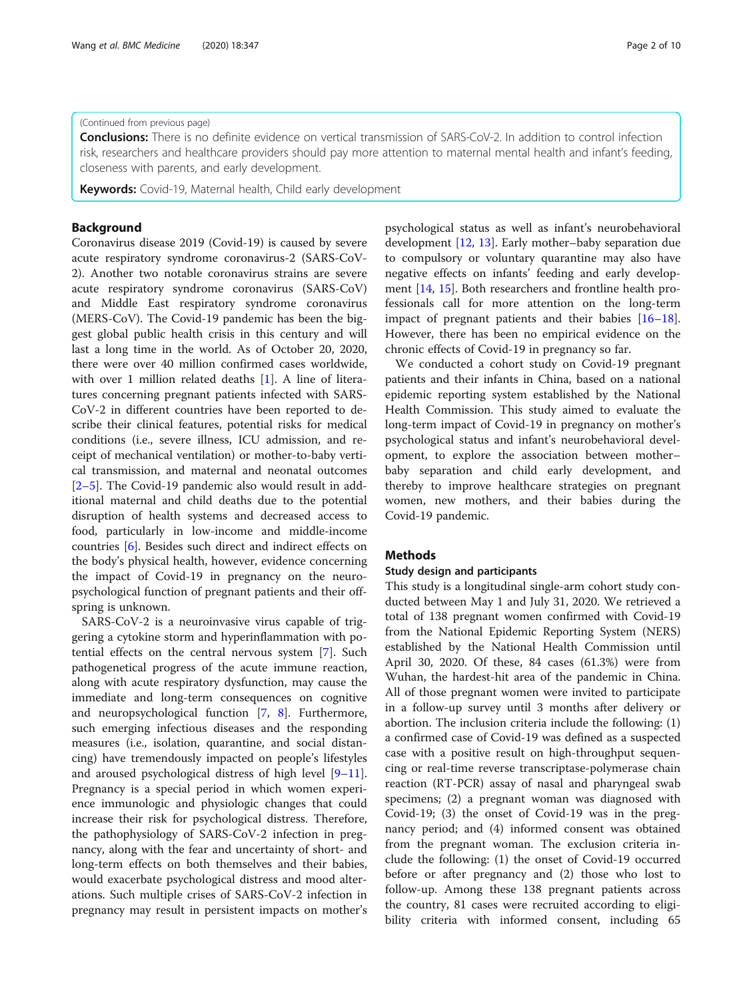#### (Continued from previous page)

**Conclusions:** There is no definite evidence on vertical transmission of SARS-CoV-2. In addition to control infection risk, researchers and healthcare providers should pay more attention to maternal mental health and infant's feeding, closeness with parents, and early development.

**Keywords:** Covid-19, Maternal health, Child early development

# Background

Coronavirus disease 2019 (Covid-19) is caused by severe acute respiratory syndrome coronavirus-2 (SARS-CoV-2). Another two notable coronavirus strains are severe acute respiratory syndrome coronavirus (SARS-CoV) and Middle East respiratory syndrome coronavirus (MERS-CoV). The Covid-19 pandemic has been the biggest global public health crisis in this century and will last a long time in the world. As of October 20, 2020, there were over 40 million confirmed cases worldwide, with over 1 million related deaths [\[1\]](#page-8-0). A line of literatures concerning pregnant patients infected with SARS-CoV-2 in different countries have been reported to describe their clinical features, potential risks for medical conditions (i.e., severe illness, ICU admission, and receipt of mechanical ventilation) or mother-to-baby vertical transmission, and maternal and neonatal outcomes [[2](#page-8-0)–[5\]](#page-8-0). The Covid-19 pandemic also would result in additional maternal and child deaths due to the potential disruption of health systems and decreased access to food, particularly in low-income and middle-income countries [\[6](#page-8-0)]. Besides such direct and indirect effects on the body's physical health, however, evidence concerning the impact of Covid-19 in pregnancy on the neuropsychological function of pregnant patients and their offspring is unknown.

SARS-CoV-2 is a neuroinvasive virus capable of triggering a cytokine storm and hyperinflammation with potential effects on the central nervous system [[7\]](#page-8-0). Such pathogenetical progress of the acute immune reaction, along with acute respiratory dysfunction, may cause the immediate and long-term consequences on cognitive and neuropsychological function [\[7](#page-8-0), [8\]](#page-8-0). Furthermore, such emerging infectious diseases and the responding measures (i.e., isolation, quarantine, and social distancing) have tremendously impacted on people's lifestyles and aroused psychological distress of high level [[9](#page-8-0)–[11](#page-8-0)]. Pregnancy is a special period in which women experience immunologic and physiologic changes that could increase their risk for psychological distress. Therefore, the pathophysiology of SARS-CoV-2 infection in pregnancy, along with the fear and uncertainty of short- and long-term effects on both themselves and their babies, would exacerbate psychological distress and mood alterations. Such multiple crises of SARS-CoV-2 infection in pregnancy may result in persistent impacts on mother's psychological status as well as infant's neurobehavioral development [[12](#page-8-0), [13](#page-8-0)]. Early mother–baby separation due to compulsory or voluntary quarantine may also have negative effects on infants' feeding and early development [\[14,](#page-8-0) [15\]](#page-8-0). Both researchers and frontline health professionals call for more attention on the long-term impact of pregnant patients and their babies [[16](#page-8-0)–[18](#page-8-0)]. However, there has been no empirical evidence on the chronic effects of Covid-19 in pregnancy so far.

We conducted a cohort study on Covid-19 pregnant patients and their infants in China, based on a national epidemic reporting system established by the National Health Commission. This study aimed to evaluate the long-term impact of Covid-19 in pregnancy on mother's psychological status and infant's neurobehavioral development, to explore the association between mother– baby separation and child early development, and thereby to improve healthcare strategies on pregnant women, new mothers, and their babies during the Covid-19 pandemic.

#### Methods

#### Study design and participants

This study is a longitudinal single-arm cohort study conducted between May 1 and July 31, 2020. We retrieved a total of 138 pregnant women confirmed with Covid-19 from the National Epidemic Reporting System (NERS) established by the National Health Commission until April 30, 2020. Of these, 84 cases (61.3%) were from Wuhan, the hardest-hit area of the pandemic in China. All of those pregnant women were invited to participate in a follow-up survey until 3 months after delivery or abortion. The inclusion criteria include the following: (1) a confirmed case of Covid-19 was defined as a suspected case with a positive result on high-throughput sequencing or real-time reverse transcriptase-polymerase chain reaction (RT-PCR) assay of nasal and pharyngeal swab specimens; (2) a pregnant woman was diagnosed with Covid-19; (3) the onset of Covid-19 was in the pregnancy period; and (4) informed consent was obtained from the pregnant woman. The exclusion criteria include the following: (1) the onset of Covid-19 occurred before or after pregnancy and (2) those who lost to follow-up. Among these 138 pregnant patients across the country, 81 cases were recruited according to eligibility criteria with informed consent, including 65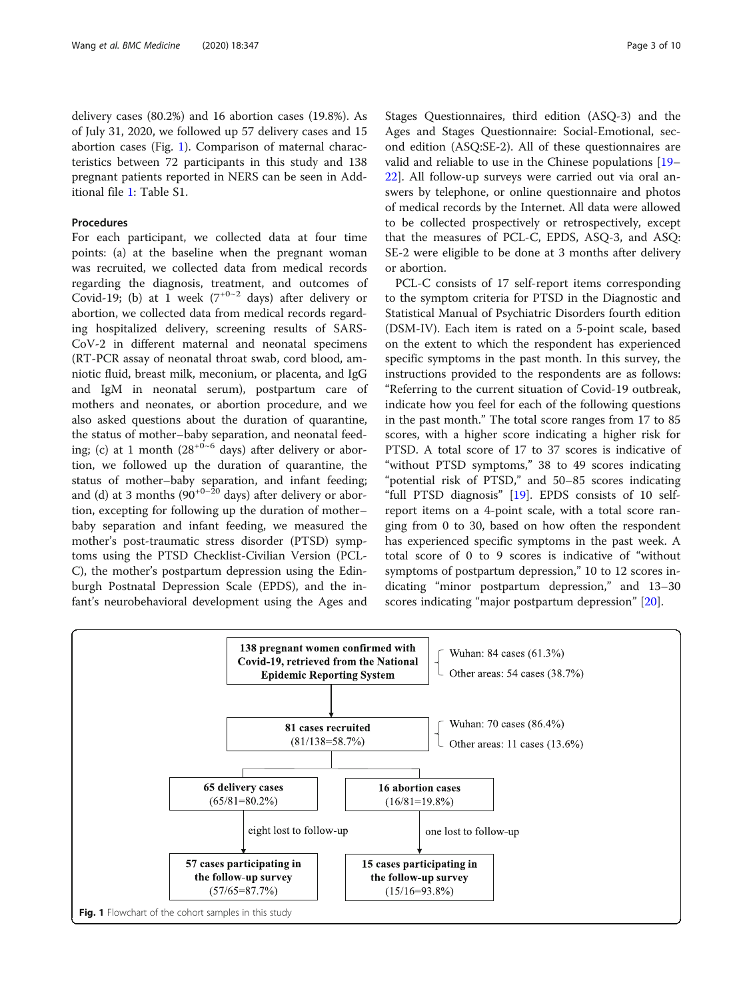delivery cases (80.2%) and 16 abortion cases (19.8%). As of July 31, 2020, we followed up 57 delivery cases and 15 abortion cases (Fig. 1). Comparison of maternal characteristics between 72 participants in this study and 138 pregnant patients reported in NERS can be seen in Additional file [1:](#page-7-0) Table S1.

#### Procedures

For each participant, we collected data at four time points: (a) at the baseline when the pregnant woman was recruited, we collected data from medical records regarding the diagnosis, treatment, and outcomes of Covid-19; (b) at 1 week  $(7^{+0\sim2}$  days) after delivery or abortion, we collected data from medical records regarding hospitalized delivery, screening results of SARS-CoV-2 in different maternal and neonatal specimens (RT-PCR assay of neonatal throat swab, cord blood, amniotic fluid, breast milk, meconium, or placenta, and IgG and IgM in neonatal serum), postpartum care of mothers and neonates, or abortion procedure, and we also asked questions about the duration of quarantine, the status of mother–baby separation, and neonatal feeding; (c) at 1 month  $(28^{+0.6}$  days) after delivery or abortion, we followed up the duration of quarantine, the status of mother–baby separation, and infant feeding; and (d) at 3 months ( $90^{+0-20}$  days) after delivery or abortion, excepting for following up the duration of mother– baby separation and infant feeding, we measured the mother's post-traumatic stress disorder (PTSD) symptoms using the PTSD Checklist-Civilian Version (PCL-C), the mother's postpartum depression using the Edinburgh Postnatal Depression Scale (EPDS), and the infant's neurobehavioral development using the Ages and Stages Questionnaires, third edition (ASQ-3) and the Ages and Stages Questionnaire: Social-Emotional, second edition (ASQ:SE-2). All of these questionnaires are valid and reliable to use in the Chinese populations [[19](#page-8-0)– [22\]](#page-8-0). All follow-up surveys were carried out via oral answers by telephone, or online questionnaire and photos of medical records by the Internet. All data were allowed to be collected prospectively or retrospectively, except that the measures of PCL-C, EPDS, ASQ-3, and ASQ: SE-2 were eligible to be done at 3 months after delivery or abortion.

PCL-C consists of 17 self-report items corresponding to the symptom criteria for PTSD in the Diagnostic and Statistical Manual of Psychiatric Disorders fourth edition (DSM-IV). Each item is rated on a 5-point scale, based on the extent to which the respondent has experienced specific symptoms in the past month. In this survey, the instructions provided to the respondents are as follows: "Referring to the current situation of Covid-19 outbreak, indicate how you feel for each of the following questions in the past month." The total score ranges from 17 to 85 scores, with a higher score indicating a higher risk for PTSD. A total score of 17 to 37 scores is indicative of "without PTSD symptoms," 38 to 49 scores indicating "potential risk of PTSD," and 50–85 scores indicating "full PTSD diagnosis" [\[19](#page-8-0)]. EPDS consists of 10 selfreport items on a 4-point scale, with a total score ranging from 0 to 30, based on how often the respondent has experienced specific symptoms in the past week. A total score of 0 to 9 scores is indicative of "without symptoms of postpartum depression," 10 to 12 scores indicating "minor postpartum depression," and 13–30 scores indicating "major postpartum depression" [[20\]](#page-8-0).

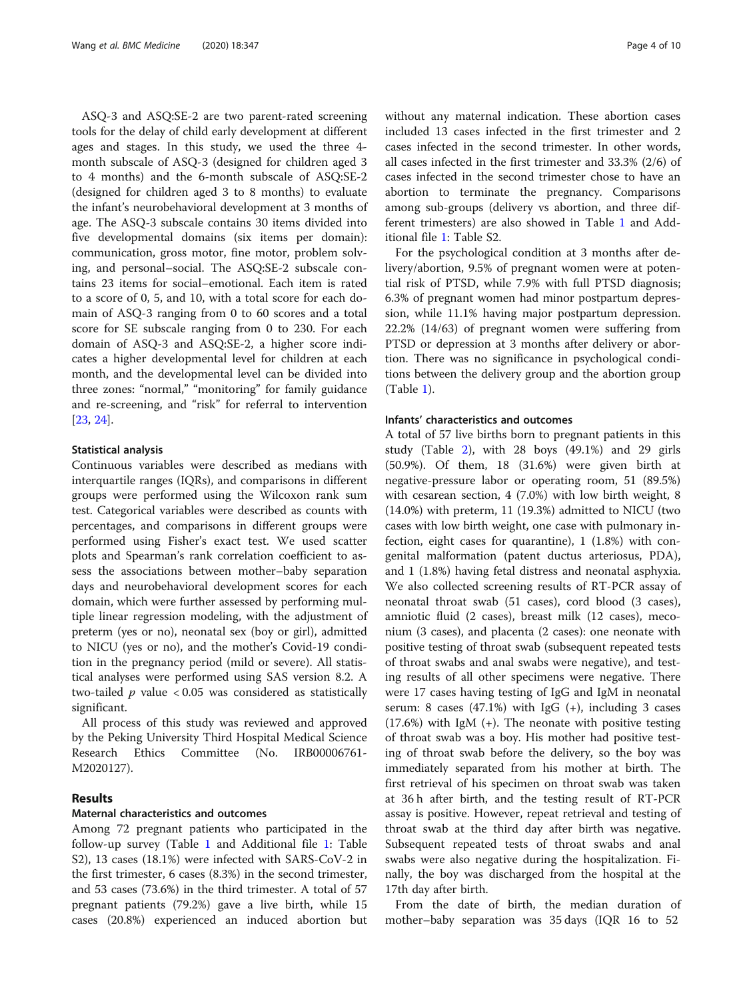ASQ-3 and ASQ:SE-2 are two parent-rated screening tools for the delay of child early development at different ages and stages. In this study, we used the three 4 month subscale of ASQ-3 (designed for children aged 3 to 4 months) and the 6-month subscale of ASQ:SE-2 (designed for children aged 3 to 8 months) to evaluate the infant's neurobehavioral development at 3 months of age. The ASQ-3 subscale contains 30 items divided into five developmental domains (six items per domain): communication, gross motor, fine motor, problem solving, and personal–social. The ASQ:SE-2 subscale contains 23 items for social–emotional. Each item is rated to a score of 0, 5, and 10, with a total score for each domain of ASQ-3 ranging from 0 to 60 scores and a total score for SE subscale ranging from 0 to 230. For each domain of ASQ-3 and ASQ:SE-2, a higher score indicates a higher developmental level for children at each month, and the developmental level can be divided into three zones: "normal," "monitoring" for family guidance and re-screening, and "risk" for referral to intervention [[23,](#page-8-0) [24\]](#page-8-0).

#### Statistical analysis

Continuous variables were described as medians with interquartile ranges (IQRs), and comparisons in different groups were performed using the Wilcoxon rank sum test. Categorical variables were described as counts with percentages, and comparisons in different groups were performed using Fisher's exact test. We used scatter plots and Spearman's rank correlation coefficient to assess the associations between mother–baby separation days and neurobehavioral development scores for each domain, which were further assessed by performing multiple linear regression modeling, with the adjustment of preterm (yes or no), neonatal sex (boy or girl), admitted to NICU (yes or no), and the mother's Covid-19 condition in the pregnancy period (mild or severe). All statistical analyses were performed using SAS version 8.2. A two-tailed  $p$  value < 0.05 was considered as statistically significant.

All process of this study was reviewed and approved by the Peking University Third Hospital Medical Science Research Ethics Committee (No. IRB00006761- M2020127).

## Results

#### Maternal characteristics and outcomes

Among 72 pregnant patients who participated in the follow-up survey (Table [1](#page-4-0) and Additional file [1:](#page-7-0) Table S2), 13 cases (18.1%) were infected with SARS-CoV-2 in the first trimester, 6 cases (8.3%) in the second trimester, and 53 cases (73.6%) in the third trimester. A total of 57 pregnant patients (79.2%) gave a live birth, while 15 cases (20.8%) experienced an induced abortion but without any maternal indication. These abortion cases included 13 cases infected in the first trimester and 2 cases infected in the second trimester. In other words, all cases infected in the first trimester and 33.3% (2/6) of cases infected in the second trimester chose to have an abortion to terminate the pregnancy. Comparisons among sub-groups (delivery vs abortion, and three different trimesters) are also showed in Table [1](#page-4-0) and Additional file [1:](#page-7-0) Table S2.

For the psychological condition at 3 months after delivery/abortion, 9.5% of pregnant women were at potential risk of PTSD, while 7.9% with full PTSD diagnosis; 6.3% of pregnant women had minor postpartum depression, while 11.1% having major postpartum depression. 22.2% (14/63) of pregnant women were suffering from PTSD or depression at 3 months after delivery or abortion. There was no significance in psychological conditions between the delivery group and the abortion group (Table [1\)](#page-4-0).

## Infants' characteristics and outcomes

A total of 57 live births born to pregnant patients in this study (Table [2](#page-5-0)), with 28 boys (49.1%) and 29 girls (50.9%). Of them, 18 (31.6%) were given birth at negative-pressure labor or operating room, 51 (89.5%) with cesarean section, 4 (7.0%) with low birth weight, 8 (14.0%) with preterm, 11 (19.3%) admitted to NICU (two cases with low birth weight, one case with pulmonary infection, eight cases for quarantine), 1 (1.8%) with congenital malformation (patent ductus arteriosus, PDA), and 1 (1.8%) having fetal distress and neonatal asphyxia. We also collected screening results of RT-PCR assay of neonatal throat swab (51 cases), cord blood (3 cases), amniotic fluid (2 cases), breast milk (12 cases), meconium (3 cases), and placenta (2 cases): one neonate with positive testing of throat swab (subsequent repeated tests of throat swabs and anal swabs were negative), and testing results of all other specimens were negative. There were 17 cases having testing of IgG and IgM in neonatal serum: 8 cases  $(47.1\%)$  with IgG  $(+)$ , including 3 cases  $(17.6%)$  with IgM  $(+)$ . The neonate with positive testing of throat swab was a boy. His mother had positive testing of throat swab before the delivery, so the boy was immediately separated from his mother at birth. The first retrieval of his specimen on throat swab was taken at 36 h after birth, and the testing result of RT-PCR assay is positive. However, repeat retrieval and testing of throat swab at the third day after birth was negative. Subsequent repeated tests of throat swabs and anal swabs were also negative during the hospitalization. Finally, the boy was discharged from the hospital at the 17th day after birth.

From the date of birth, the median duration of mother–baby separation was 35 days (IQR 16 to 52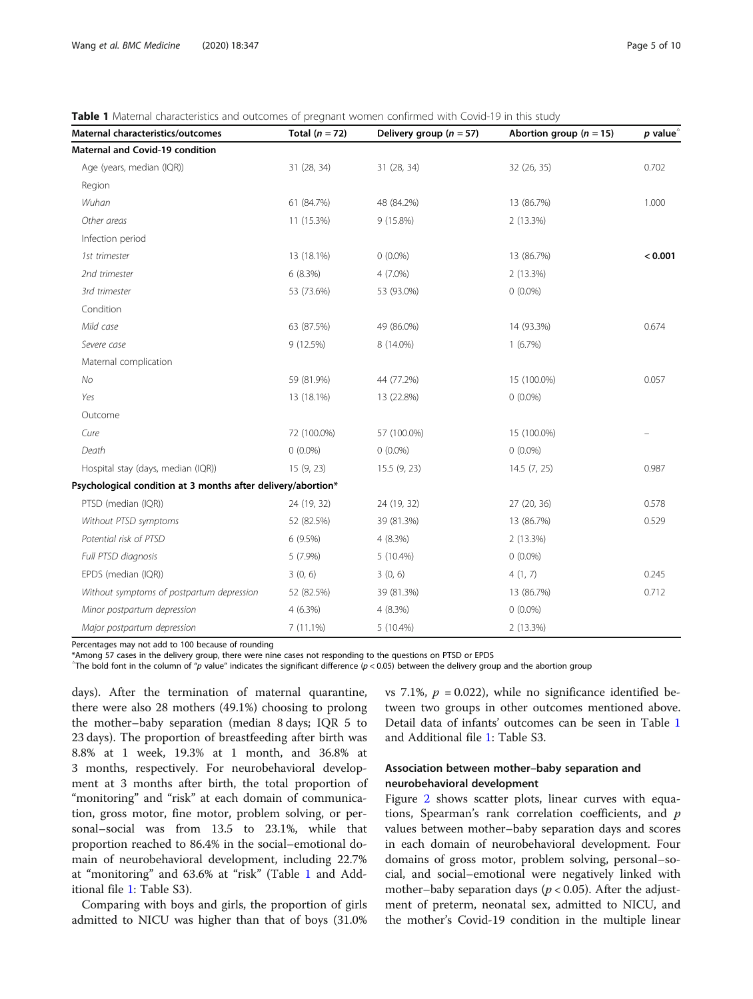<span id="page-4-0"></span>Table 1 Maternal characteristics and outcomes of pregnant women confirmed with Covid-19 in this study

| Maternal characteristics/outcomes                            | Total $(n = 72)$ | Delivery group ( $n = 57$ ) | Abortion group ( $n = 15$ ) | $p$ value <sup><math>\triangle</math></sup> |
|--------------------------------------------------------------|------------------|-----------------------------|-----------------------------|---------------------------------------------|
| Maternal and Covid-19 condition                              |                  |                             |                             |                                             |
| Age (years, median (IQR))                                    | 31 (28, 34)      | 31 (28, 34)                 | 32 (26, 35)                 | 0.702                                       |
| Region                                                       |                  |                             |                             |                                             |
| Wuhan                                                        | 61 (84.7%)       | 48 (84.2%)                  | 13 (86.7%)                  | 1.000                                       |
| Other areas                                                  | 11 (15.3%)       | 9 (15.8%)                   | 2 (13.3%)                   |                                             |
| Infection period                                             |                  |                             |                             |                                             |
| 1st trimester                                                | 13 (18.1%)       | $0(0.0\%)$                  | 13 (86.7%)                  | < 0.001                                     |
| 2nd trimester                                                | 6(8.3%)          | $4(7.0\%)$                  | 2 (13.3%)                   |                                             |
| 3rd trimester                                                | 53 (73.6%)       | 53 (93.0%)                  | $0(0.0\%)$                  |                                             |
| Condition                                                    |                  |                             |                             |                                             |
| Mild case                                                    | 63 (87.5%)       | 49 (86.0%)                  | 14 (93.3%)                  | 0.674                                       |
| Severe case                                                  | 9 (12.5%)        | 8 (14.0%)                   | 1(6.7%)                     |                                             |
| Maternal complication                                        |                  |                             |                             |                                             |
| No                                                           | 59 (81.9%)       | 44 (77.2%)                  | 15 (100.0%)                 | 0.057                                       |
| Yes                                                          | 13 (18.1%)       | 13 (22.8%)                  | $0(0.0\%)$                  |                                             |
| Outcome                                                      |                  |                             |                             |                                             |
| Cure                                                         | 72 (100.0%)      | 57 (100.0%)                 | 15 (100.0%)                 | -                                           |
| Death                                                        | $0(0.0\%)$       | $0(0.0\%)$                  | $0(0.0\%)$                  |                                             |
| Hospital stay (days, median (IQR))                           | 15 (9, 23)       | 15.5(9, 23)                 | 14.5(7, 25)                 | 0.987                                       |
| Psychological condition at 3 months after delivery/abortion* |                  |                             |                             |                                             |
| PTSD (median (IQR))                                          | 24 (19, 32)      | 24 (19, 32)                 | 27 (20, 36)                 | 0.578                                       |
| Without PTSD symptoms                                        | 52 (82.5%)       | 39 (81.3%)                  | 13 (86.7%)                  | 0.529                                       |
| Potential risk of PTSD                                       | 6(9.5%)          | 4(8.3%)                     | 2 (13.3%)                   |                                             |
| Full PTSD diagnosis                                          | $5(7.9\%)$       | $5(10.4\%)$                 | $0(0.0\%)$                  |                                             |
| EPDS (median (IQR))                                          | 3(0, 6)          | 3(0, 6)                     | 4(1, 7)                     | 0.245                                       |
| Without symptoms of postpartum depression                    | 52 (82.5%)       | 39 (81.3%)                  | 13 (86.7%)                  | 0.712                                       |
| Minor postpartum depression                                  | $4(6.3\%)$       | 4 (8.3%)                    | $0(0.0\%)$                  |                                             |
| Major postpartum depression                                  | $7(11.1\%)$      | $5(10.4\%)$                 | 2 (13.3%)                   |                                             |

Percentages may not add to 100 because of rounding

\*Among 57 cases in the delivery group, there were nine cases not responding to the questions on PTSD or EPDS

 $^{\circ}$ The bold font in the column of "p value" indicates the significant difference (p < 0.05) between the delivery group and the abortion group

days). After the termination of maternal quarantine, there were also 28 mothers (49.1%) choosing to prolong the mother–baby separation (median 8 days; IQR 5 to 23 days). The proportion of breastfeeding after birth was 8.8% at 1 week, 19.3% at 1 month, and 36.8% at 3 months, respectively. For neurobehavioral development at 3 months after birth, the total proportion of "monitoring" and "risk" at each domain of communication, gross motor, fine motor, problem solving, or personal–social was from 13.5 to 23.1%, while that proportion reached to 86.4% in the social–emotional domain of neurobehavioral development, including 22.7% at "monitoring" and 63.6% at "risk" (Table 1 and Additional file [1:](#page-7-0) Table S3).

Comparing with boys and girls, the proportion of girls admitted to NICU was higher than that of boys (31.0% vs 7.1%,  $p = 0.022$ ), while no significance identified between two groups in other outcomes mentioned above. Detail data of infants' outcomes can be seen in Table 1 and Additional file [1](#page-7-0): Table S3.

# Association between mother–baby separation and neurobehavioral development

Figure [2](#page-6-0) shows scatter plots, linear curves with equations, Spearman's rank correlation coefficients, and  $p$ values between mother–baby separation days and scores in each domain of neurobehavioral development. Four domains of gross motor, problem solving, personal–social, and social–emotional were negatively linked with mother–baby separation days ( $p < 0.05$ ). After the adjustment of preterm, neonatal sex, admitted to NICU, and the mother's Covid-19 condition in the multiple linear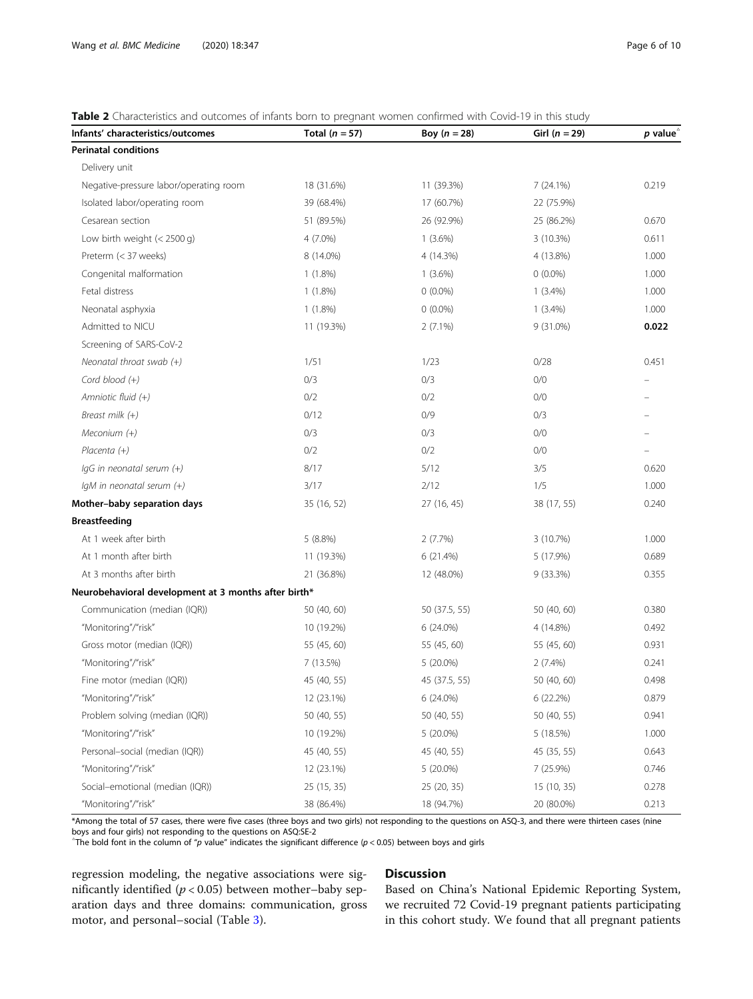#### <span id="page-5-0"></span>Table 2 Characteristics and outcomes of infants born to pregnant women confirmed with Covid-19 in this study

| Infants' characteristics/outcomes                    | Total ( $n = 57$ ) | Boy $(n = 28)$ | Girl ( $n = 29$ ) | $p$ value <sup><math>\triangle</math></sup> |
|------------------------------------------------------|--------------------|----------------|-------------------|---------------------------------------------|
| <b>Perinatal conditions</b>                          |                    |                |                   |                                             |
| Delivery unit                                        |                    |                |                   |                                             |
| Negative-pressure labor/operating room               | 18 (31.6%)         | 11 (39.3%)     | 7(24.1%)          | 0.219                                       |
| Isolated labor/operating room                        | 39 (68.4%)         | 17 (60.7%)     | 22 (75.9%)        |                                             |
| Cesarean section                                     | 51 (89.5%)         | 26 (92.9%)     | 25 (86.2%)        | 0.670                                       |
| Low birth weight $(< 2500 q)$                        | $4(7.0\%)$         | $1(3.6\%)$     | 3(10.3%)          | 0.611                                       |
| Preterm (< 37 weeks)                                 | 8 (14.0%)          | 4 (14.3%)      | 4 (13.8%)         | 1.000                                       |
| Congenital malformation                              | $1(1.8\%)$         | $1(3.6\%)$     | $0(0.0\%)$        | 1.000                                       |
| Fetal distress                                       | $1(1.8\%)$         | $0(0.0\%)$     | $1(3.4\%)$        | 1.000                                       |
| Neonatal asphyxia                                    | $1(1.8\%)$         | $0(0.0\%)$     | $1(3.4\%)$        | 1.000                                       |
| Admitted to NICU                                     | 11 (19.3%)         | $2(7.1\%)$     | $9(31.0\%)$       | 0.022                                       |
| Screening of SARS-CoV-2                              |                    |                |                   |                                             |
| Neonatal throat swab $(+)$                           | 1/51               | 1/23           | 0/28              | 0.451                                       |
| Cord blood (+)                                       | 0/3                | 0/3            | 0/0               |                                             |
| Amniotic fluid (+)                                   | 0/2                | 0/2            | 0/0               |                                             |
| Breast milk (+)                                      | 0/12               | 0/9            | 0/3               |                                             |
| Meconium (+)                                         | 0/3                | 0/3            | 0/0               |                                             |
| Placenta $(+)$                                       | 0/2                | 0/2            | 0/0               | $\qquad \qquad -$                           |
| IgG in neonatal serum (+)                            | 8/17               | 5/12           | 3/5               | 0.620                                       |
| IgM in neonatal serum (+)                            | 3/17               | 2/12           | 1/5               | 1.000                                       |
| Mother-baby separation days                          | 35 (16, 52)        | 27 (16, 45)    | 38 (17, 55)       | 0.240                                       |
| <b>Breastfeeding</b>                                 |                    |                |                   |                                             |
| At 1 week after birth                                | 5(8.8%)            | 2(7.7%)        | 3 (10.7%)         | 1.000                                       |
| At 1 month after birth                               | 11 (19.3%)         | 6 (21.4%)      | 5 (17.9%)         | 0.689                                       |
| At 3 months after birth                              | 21 (36.8%)         | 12 (48.0%)     | 9 (33.3%)         | 0.355                                       |
| Neurobehavioral development at 3 months after birth* |                    |                |                   |                                             |
| Communication (median (IQR))                         | 50 (40, 60)        | 50 (37.5, 55)  | 50 (40, 60)       | 0.380                                       |
| "Monitoring"/"risk"                                  | 10 (19.2%)         | $6(24.0\%)$    | 4 (14.8%)         | 0.492                                       |
| Gross motor (median (IQR))                           | 55 (45, 60)        | 55 (45, 60)    | 55 (45, 60)       | 0.931                                       |
| "Monitoring"/"risk"                                  | 7 (13.5%)          | 5 (20.0%)      | $2(7.4\%)$        | 0.241                                       |
| Fine motor (median (IQR))                            | 45 (40, 55)        | 45 (37.5, 55)  | 50 (40, 60)       | 0.498                                       |
| "Monitoring"/"risk"                                  | 12 (23.1%)         | 6 (24.0%)      | 6 (22.2%)         | 0.879                                       |
| Problem solving (median (IQR))                       | 50 (40, 55)        | 50 (40, 55)    | 50 (40, 55)       | 0.941                                       |
| "Monitoring"/"risk"                                  | 10 (19.2%)         | $5(20.0\%)$    | 5(18.5%)          | 1.000                                       |
| Personal-social (median (IQR))                       | 45 (40, 55)        | 45 (40, 55)    | 45 (35, 55)       | 0.643                                       |
| "Monitoring"/"risk"                                  | 12 (23.1%)         | 5 (20.0%)      | 7 (25.9%)         | 0.746                                       |
| Social-emotional (median (IQR))                      | 25 (15, 35)        | 25 (20, 35)    | 15 (10, 35)       | 0.278                                       |
| "Monitoring"/"risk"                                  | 38 (86.4%)         | 18 (94.7%)     | 20 (80.0%)        | 0.213                                       |

\*Among the total of 57 cases, there were five cases (three boys and two girls) not responding to the questions on ASQ-3, and there were thirteen cases (nine boys and four girls) not responding to the questions on ASQ:SE-2

 $\hat{\tau}$ The bold font in the column of "p value" indicates the significant difference (p < 0.05) between boys and girls

regression modeling, the negative associations were significantly identified ( $p < 0.05$ ) between mother-baby separation days and three domains: communication, gross motor, and personal–social (Table [3](#page-6-0)).

# Discussion

Based on China's National Epidemic Reporting System, we recruited 72 Covid-19 pregnant patients participating in this cohort study. We found that all pregnant patients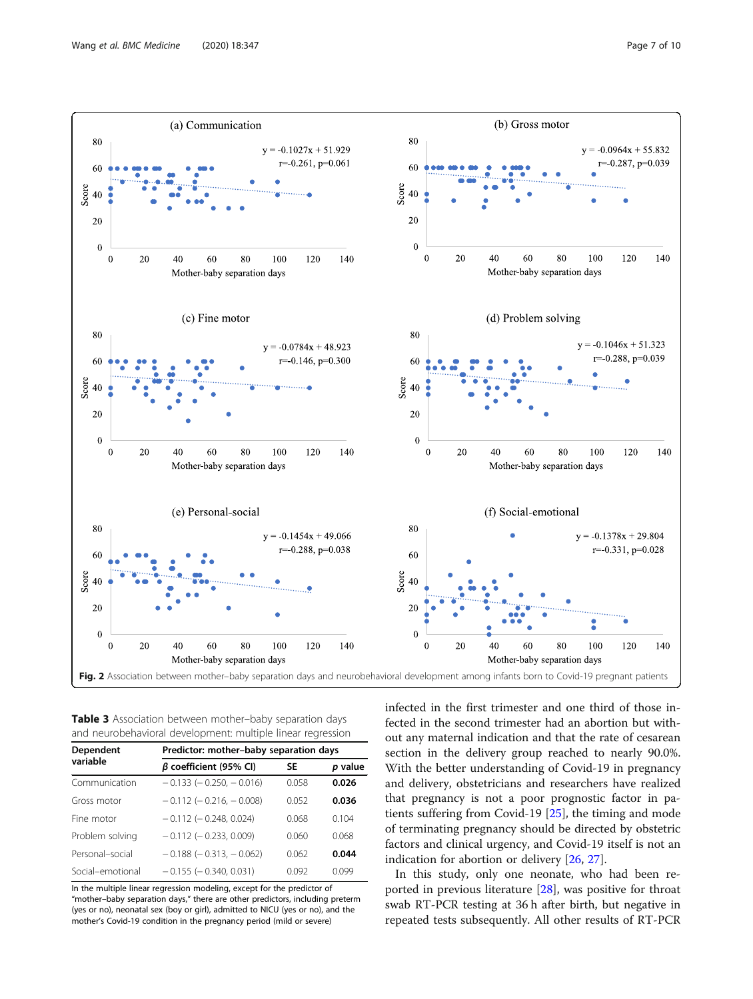<span id="page-6-0"></span>

Table 3 Association between mother-baby separation days and neurobehavioral development: multiple linear regression

| <b>Dependent</b><br>variable | Predictor: mother-baby separation days |           |         |  |  |
|------------------------------|----------------------------------------|-----------|---------|--|--|
|                              | $\beta$ coefficient (95% CI)           | <b>SE</b> | p value |  |  |
| Communication                | $-0.133$ ( $-0.250$ , $-0.016$ )       | 0058      | 0.026   |  |  |
| Gross motor                  | $-0.112$ ( $-0.216$ . $-0.008$ )       | 0052      | 0.036   |  |  |
| Fine motor                   | $-0.112$ ( $-0.248$ , 0.024)           | 0.068     | 0.104   |  |  |
| Problem solving              | $-0.112$ ( $-0.233$ , 0.009)           | 0.060     | 0.068   |  |  |
| Personal-social              | $-0.188$ ( $-0.313$ , $-0.062$ )       | 0062      | 0.044   |  |  |
| Social-emotional             | $-0.155$ ( $-0.340$ , 0.031)           | 0.092     | 0099    |  |  |

In the multiple linear regression modeling, except for the predictor of "mother–baby separation days," there are other predictors, including preterm (yes or no), neonatal sex (boy or girl), admitted to NICU (yes or no), and the mother's Covid-19 condition in the pregnancy period (mild or severe)

infected in the first trimester and one third of those infected in the second trimester had an abortion but without any maternal indication and that the rate of cesarean section in the delivery group reached to nearly 90.0%. With the better understanding of Covid-19 in pregnancy and delivery, obstetricians and researchers have realized that pregnancy is not a poor prognostic factor in patients suffering from Covid-19 [[25](#page-8-0)], the timing and mode of terminating pregnancy should be directed by obstetric factors and clinical urgency, and Covid-19 itself is not an indication for abortion or delivery [\[26,](#page-8-0) [27\]](#page-8-0).

In this study, only one neonate, who had been reported in previous literature [[28](#page-9-0)], was positive for throat swab RT-PCR testing at 36 h after birth, but negative in repeated tests subsequently. All other results of RT-PCR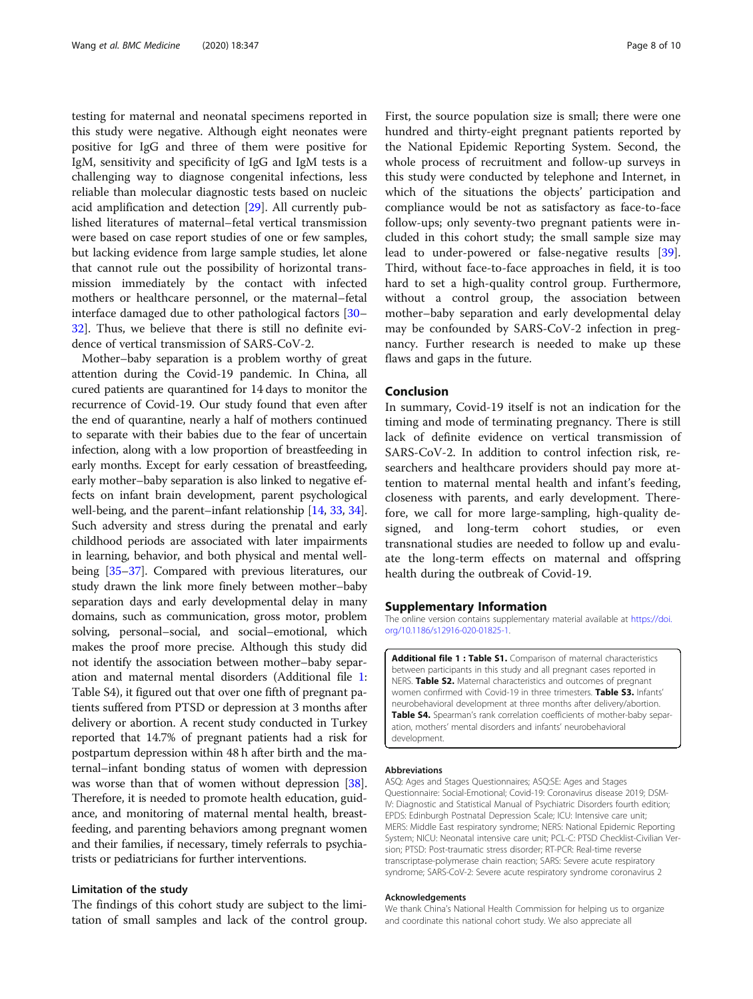<span id="page-7-0"></span>testing for maternal and neonatal specimens reported in this study were negative. Although eight neonates were positive for IgG and three of them were positive for IgM, sensitivity and specificity of IgG and IgM tests is a challenging way to diagnose congenital infections, less reliable than molecular diagnostic tests based on nucleic acid amplification and detection [[29](#page-9-0)]. All currently published literatures of maternal–fetal vertical transmission were based on case report studies of one or few samples, but lacking evidence from large sample studies, let alone that cannot rule out the possibility of horizontal transmission immediately by the contact with infected mothers or healthcare personnel, or the maternal–fetal interface damaged due to other pathological factors [[30](#page-9-0)– [32\]](#page-9-0). Thus, we believe that there is still no definite evidence of vertical transmission of SARS-CoV-2.

Mother–baby separation is a problem worthy of great attention during the Covid-19 pandemic. In China, all cured patients are quarantined for 14 days to monitor the recurrence of Covid-19. Our study found that even after the end of quarantine, nearly a half of mothers continued to separate with their babies due to the fear of uncertain infection, along with a low proportion of breastfeeding in early months. Except for early cessation of breastfeeding, early mother–baby separation is also linked to negative effects on infant brain development, parent psychological well-being, and the parent–infant relationship [[14](#page-8-0), [33,](#page-9-0) [34](#page-9-0)]. Such adversity and stress during the prenatal and early childhood periods are associated with later impairments in learning, behavior, and both physical and mental wellbeing [\[35](#page-9-0)–[37\]](#page-9-0). Compared with previous literatures, our study drawn the link more finely between mother–baby separation days and early developmental delay in many domains, such as communication, gross motor, problem solving, personal–social, and social–emotional, which makes the proof more precise. Although this study did not identify the association between mother–baby separation and maternal mental disorders (Additional file 1: Table S4), it figured out that over one fifth of pregnant patients suffered from PTSD or depression at 3 months after delivery or abortion. A recent study conducted in Turkey reported that 14.7% of pregnant patients had a risk for postpartum depression within 48 h after birth and the maternal–infant bonding status of women with depression was worse than that of women without depression [[38](#page-9-0)]. Therefore, it is needed to promote health education, guidance, and monitoring of maternal mental health, breastfeeding, and parenting behaviors among pregnant women and their families, if necessary, timely referrals to psychiatrists or pediatricians for further interventions.

#### Limitation of the study

The findings of this cohort study are subject to the limitation of small samples and lack of the control group.

First, the source population size is small; there were one hundred and thirty-eight pregnant patients reported by the National Epidemic Reporting System. Second, the whole process of recruitment and follow-up surveys in this study were conducted by telephone and Internet, in which of the situations the objects' participation and compliance would be not as satisfactory as face-to-face follow-ups; only seventy-two pregnant patients were included in this cohort study; the small sample size may lead to under-powered or false-negative results [\[39](#page-9-0)]. Third, without face-to-face approaches in field, it is too hard to set a high-quality control group. Furthermore, without a control group, the association between mother–baby separation and early developmental delay may be confounded by SARS-CoV-2 infection in pregnancy. Further research is needed to make up these flaws and gaps in the future.

## Conclusion

In summary, Covid-19 itself is not an indication for the timing and mode of terminating pregnancy. There is still lack of definite evidence on vertical transmission of SARS-CoV-2. In addition to control infection risk, researchers and healthcare providers should pay more attention to maternal mental health and infant's feeding, closeness with parents, and early development. Therefore, we call for more large-sampling, high-quality designed, and long-term cohort studies, or even transnational studies are needed to follow up and evaluate the long-term effects on maternal and offspring health during the outbreak of Covid-19.

#### Supplementary Information

The online version contains supplementary material available at [https://doi.](https://doi.org/10.1186/s12916-020-01825-1) [org/10.1186/s12916-020-01825-1.](https://doi.org/10.1186/s12916-020-01825-1)

Additional file 1 : Table S1. Comparison of maternal characteristics between participants in this study and all pregnant cases reported in NERS. Table S2. Maternal characteristics and outcomes of pregnant women confirmed with Covid-19 in three trimesters. Table S3. Infants' neurobehavioral development at three months after delivery/abortion. Table S4. Spearman's rank correlation coefficients of mother-baby separation, mothers' mental disorders and infants' neurobehavioral development.

#### Abbreviations

ASQ: Ages and Stages Questionnaires; ASQ:SE: Ages and Stages Questionnaire: Social-Emotional; Covid-19: Coronavirus disease 2019; DSM-IV: Diagnostic and Statistical Manual of Psychiatric Disorders fourth edition; EPDS: Edinburgh Postnatal Depression Scale; ICU: Intensive care unit; MERS: Middle East respiratory syndrome; NERS: National Epidemic Reporting System; NICU: Neonatal intensive care unit; PCL-C: PTSD Checklist-Civilian Version; PTSD: Post-traumatic stress disorder; RT-PCR: Real-time reverse transcriptase-polymerase chain reaction; SARS: Severe acute respiratory syndrome; SARS-CoV-2: Severe acute respiratory syndrome coronavirus 2

#### Acknowledgements

We thank China's National Health Commission for helping us to organize and coordinate this national cohort study. We also appreciate all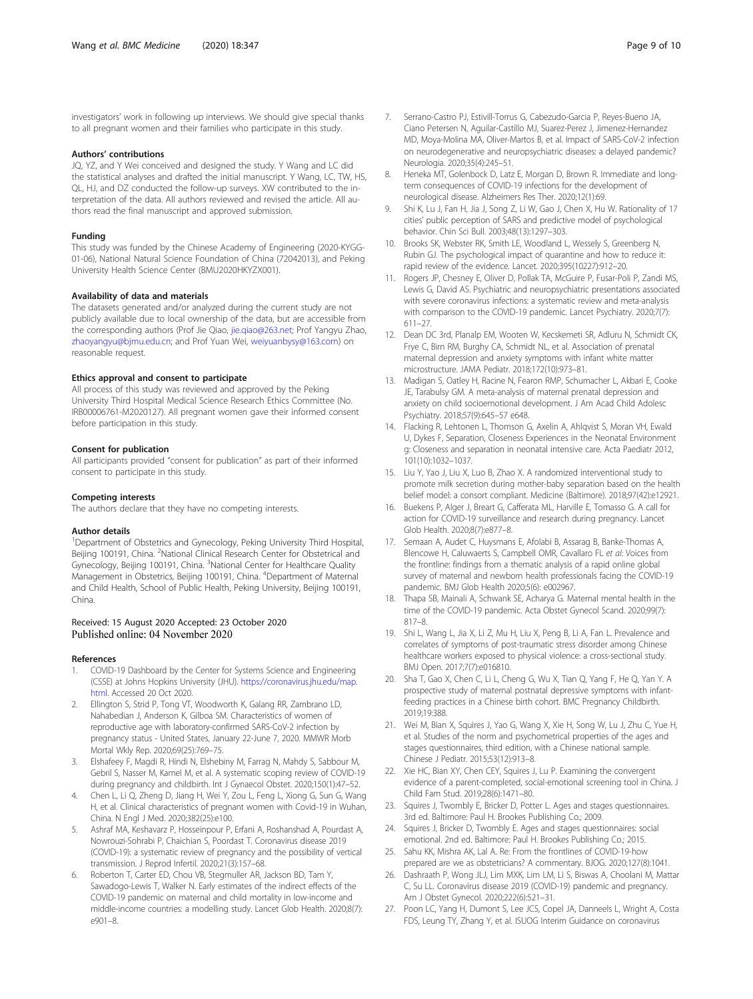<span id="page-8-0"></span>investigators' work in following up interviews. We should give special thanks to all pregnant women and their families who participate in this study.

#### Authors' contributions

JQ, YZ, and Y Wei conceived and designed the study. Y Wang and LC did the statistical analyses and drafted the initial manuscript. Y Wang, LC, TW, HS, QL, HJ, and DZ conducted the follow-up surveys. XW contributed to the interpretation of the data. All authors reviewed and revised the article. All authors read the final manuscript and approved submission.

#### Funding

This study was funded by the Chinese Academy of Engineering (2020-KYGG-01-06), National Natural Science Foundation of China (72042013), and Peking University Health Science Center (BMU2020HKYZX001).

#### Availability of data and materials

The datasets generated and/or analyzed during the current study are not publicly available due to local ownership of the data, but are accessible from the corresponding authors (Prof Jie Qiao, [jie.qiao@263.net](mailto:jie.qiao@263.net); Prof Yangyu Zhao, [zhaoyangyu@bjmu.edu.cn](mailto:zhaoyangyu@bjmu.edu.cn); and Prof Yuan Wei, [weiyuanbysy@163.com\)](mailto:weiyuanbysy@163.com) on reasonable request.

#### Ethics approval and consent to participate

All process of this study was reviewed and approved by the Peking University Third Hospital Medical Science Research Ethics Committee (No. IRB00006761-M2020127). All pregnant women gave their informed consent before participation in this study.

#### Consent for publication

All participants provided "consent for publication" as part of their informed consent to participate in this study.

#### Competing interests

The authors declare that they have no competing interests.

#### Author details

<sup>1</sup>Department of Obstetrics and Gynecology, Peking University Third Hospital, Beijing 100191, China. <sup>2</sup>National Clinical Research Center for Obstetrical and Gynecology, Beijing 100191, China. <sup>3</sup>National Center for Healthcare Quality Management in Obstetrics, Beijing 100191, China. <sup>4</sup>Department of Maternal and Child Health, School of Public Health, Peking University, Beijing 100191, China.

#### Received: 15 August 2020 Accepted: 23 October 2020 Published online: 04 November 2020

#### References

- 1. COVID-19 Dashboard by the Center for Systems Science and Engineering (CSSE) at Johns Hopkins University (JHU). [https://coronavirus.jhu.edu/map.](https://coronavirus.jhu.edu/map.html) [html.](https://coronavirus.jhu.edu/map.html) Accessed 20 Oct 2020.
- 2. Ellington S, Strid P, Tong VT, Woodworth K, Galang RR, Zambrano LD, Nahabedian J, Anderson K, Gilboa SM. Characteristics of women of reproductive age with laboratory-confirmed SARS-CoV-2 infection by pregnancy status - United States, January 22-June 7, 2020. MMWR Morb Mortal Wkly Rep. 2020;69(25):769–75.
- 3. Elshafeey F, Magdi R, Hindi N, Elshebiny M, Farrag N, Mahdy S, Sabbour M, Gebril S, Nasser M, Kamel M, et al. A systematic scoping review of COVID-19 during pregnancy and childbirth. Int J Gynaecol Obstet. 2020;150(1):47–52.
- 4. Chen L, Li Q, Zheng D, Jiang H, Wei Y, Zou L, Feng L, Xiong G, Sun G, Wang H, et al. Clinical characteristics of pregnant women with Covid-19 in Wuhan, China. N Engl J Med. 2020;382(25):e100.
- 5. Ashraf MA, Keshavarz P, Hosseinpour P, Erfani A, Roshanshad A, Pourdast A, Nowrouzi-Sohrabi P, Chaichian S, Poordast T. Coronavirus disease 2019 (COVID-19): a systematic review of pregnancy and the possibility of vertical transmission. J Reprod Infertil. 2020;21(3):157–68.
- Roberton T, Carter ED, Chou VB, Stegmuller AR, Jackson BD, Tam Y, Sawadogo-Lewis T, Walker N. Early estimates of the indirect effects of the COVID-19 pandemic on maternal and child mortality in low-income and middle-income countries: a modelling study. Lancet Glob Health. 2020;8(7): e901–8.
- 7. Serrano-Castro PJ, Estivill-Torrus G, Cabezudo-Garcia P, Reyes-Bueno JA, Ciano Petersen N, Aguilar-Castillo MJ, Suarez-Perez J, Jimenez-Hernandez MD, Moya-Molina MA, Oliver-Martos B, et al. Impact of SARS-CoV-2 infection on neurodegenerative and neuropsychiatric diseases: a delayed pandemic? Neurologia. 2020;35(4):245–51.
- 8. Heneka MT, Golenbock D, Latz E, Morgan D, Brown R. Immediate and longterm consequences of COVID-19 infections for the development of neurological disease. Alzheimers Res Ther. 2020;12(1):69.
- 9. Shi K, Lu J, Fan H, Jia J, Song Z, Li W, Gao J, Chen X, Hu W. Rationality of 17 cities' public perception of SARS and predictive model of psychological behavior. Chin Sci Bull. 2003;48(13):1297–303.
- 10. Brooks SK, Webster RK, Smith LE, Woodland L, Wessely S, Greenberg N, Rubin GJ. The psychological impact of quarantine and how to reduce it: rapid review of the evidence. Lancet. 2020;395(10227):912–20.
- 11. Rogers JP, Chesney E, Oliver D, Pollak TA, McGuire P, Fusar-Poli P, Zandi MS, Lewis G, David AS. Psychiatric and neuropsychiatric presentations associated with severe coronavirus infections: a systematic review and meta-analysis with comparison to the COVID-19 pandemic. Lancet Psychiatry. 2020;7(7): 611–27.
- 12. Dean DC 3rd, Planalp EM, Wooten W, Kecskemeti SR, Adluru N, Schmidt CK, Frye C, Birn RM, Burghy CA, Schmidt NL, et al. Association of prenatal maternal depression and anxiety symptoms with infant white matter microstructure. JAMA Pediatr. 2018;172(10):973–81.
- 13. Madigan S, Oatley H, Racine N, Fearon RMP, Schumacher L, Akbari E, Cooke JE, Tarabulsy GM. A meta-analysis of maternal prenatal depression and anxiety on child socioemotional development. J Am Acad Child Adolesc Psychiatry. 2018;57(9):645–57 e648.
- 14. Flacking R, Lehtonen L, Thomson G, Axelin A, Ahlqvist S, Moran VH, Ewald U, Dykes F, Separation, Closeness Experiences in the Neonatal Environment g: Closeness and separation in neonatal intensive care. Acta Paediatr 2012, 101(10):1032–1037.
- 15. Liu Y, Yao J, Liu X, Luo B, Zhao X. A randomized interventional study to promote milk secretion during mother-baby separation based on the health belief model: a consort compliant. Medicine (Baltimore). 2018;97(42):e12921.
- 16. Buekens P, Alger J, Breart G, Cafferata ML, Harville E, Tomasso G. A call for action for COVID-19 surveillance and research during pregnancy. Lancet Glob Health. 2020;8(7):e877–8.
- 17. Semaan A, Audet C, Huysmans E, Afolabi B, Assarag B, Banke-Thomas A, Blencowe H, Caluwaerts S, Campbell OMR, Cavallaro FL et al: Voices from the frontline: findings from a thematic analysis of a rapid online global survey of maternal and newborn health professionals facing the COVID-19 pandemic. BMJ Glob Health 2020;5(6): e002967.
- 18. Thapa SB, Mainali A, Schwank SE, Acharya G. Maternal mental health in the time of the COVID-19 pandemic. Acta Obstet Gynecol Scand. 2020;99(7): 817–8.
- 19. Shi L, Wang L, Jia X, Li Z, Mu H, Liu X, Peng B, Li A, Fan L. Prevalence and correlates of symptoms of post-traumatic stress disorder among Chinese healthcare workers exposed to physical violence: a cross-sectional study. BMJ Open. 2017;7(7):e016810.
- 20. Sha T, Gao X, Chen C, Li L, Cheng G, Wu X, Tian Q, Yang F, He Q, Yan Y. A prospective study of maternal postnatal depressive symptoms with infantfeeding practices in a Chinese birth cohort. BMC Pregnancy Childbirth. 2019;19:388.
- 21. Wei M, Bian X, Squires J, Yao G, Wang X, Xie H, Song W, Lu J, Zhu C, Yue H, et al. Studies of the norm and psychometrical properties of the ages and stages questionnaires, third edition, with a Chinese national sample. Chinese J Pediatr. 2015;53(12):913–8.
- 22. Xie HC, Bian XY, Chen CEY, Squires J, Lu P. Examining the convergent evidence of a parent-completed, social-emotional screening tool in China. J Child Fam Stud. 2019;28(6):1471–80.
- Squires J, Twombly E, Bricker D, Potter L. Ages and stages questionnaires. 3rd ed. Baltimore: Paul H. Brookes Publishing Co.; 2009.
- 24. Squires J, Bricker D, Twombly E. Ages and stages questionnaires: social emotional. 2nd ed. Baltimore: Paul H. Brookes Publishing Co.; 2015.
- 25. Sahu KK, Mishra AK, Lal A. Re: From the frontlines of COVID-19-how prepared are we as obstetricians? A commentary. BJOG. 2020;127(8):1041.
- 26. Dashraath P, Wong JLJ, Lim MXK, Lim LM, Li S, Biswas A, Choolani M, Mattar C, Su LL. Coronavirus disease 2019 (COVID-19) pandemic and pregnancy. Am J Obstet Gynecol. 2020;222(6):521–31.
- 27. Poon LC, Yang H, Dumont S, Lee JCS, Copel JA, Danneels L, Wright A, Costa FDS, Leung TY, Zhang Y, et al. ISUOG Interim Guidance on coronavirus